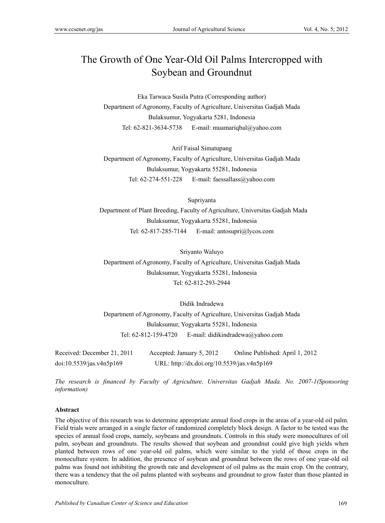# The Growth of One Year-Old Oil Palms Intercropped with Soybean and Groundnut

Eka Tarwaca Susila Putra (Corresponding author) Department of Agronomy, Faculty of Agriculture, Universitas Gadjah Mada Bulaksumur, Yogyakarta 5281, Indonesia Tel: 62-821-3634-5738 E-mail: muamariqbal@yahoo.com

Arif Faisal Simatupang

Department of Agronomy, Faculty of Agriculture, Universitas Gadjah Mada Bulaksumur, Yogyakarta 55281, Indonesia Tel: 62-274-551-228 E-mail: faessallass@yahoo.com

Supriyanta

 Department of Plant Breeding, Faculty of Agriculture, Universitas Gadjah Mada Bulaksumur, Yogyakarta 55281, Indonesia Tel: 62-817-285-7144 E-mail: antosupri@lycos.com

Sriyanto Waluyo

Department of Agronomy, Faculty of Agriculture, Universitas Gadjah Mada Bulaksumur, Yogyakarta 55281, Indonesia Tel: 62-812-293-2944

Didik Indradewa Department of Agronomy, Faculty of Agriculture, Universitas Gadjah Mada Bulaksumur, Yogyakarta 55281, Indonesia

Tel: 62-812-159-4720 E-mail: didikindradewa@yahoo.com

Received: December 21, 2011 Accepted: January 5, 2012 Online Published: April 1, 2012 doi:10.5539/jas.v4n5p169 URL: http://dx.doi.org/10.5539/jas.v4n5p169

*The research is financed by Faculty of Agriculture, Universitas Gadjah Mada. No. 2007-1(Sponsoring information)*

### **Abstract**

The objective of this research was to determine appropriate annual food crops in the areas of a year-old oil palm. Field trials were arranged in a single factor of randomized completely block design. A factor to be tested was the species of annual food crops, namely, soybeans and groundnuts. Controls in this study were monocultures of oil palm, soybean and groundnuts. The results showed that soybean and groundnut could give high yields when planted between rows of one year-old oil palms, which were similar to the yield of those crops in the monoculture system. In addition, the presence of soybean and groundnut between the rows of one year-old oil palms was found not inhibiting the growth rate and development of oil palms as the main crop. On the contrary, there was a tendency that the oil palms planted with soybeans and groundnut to grow faster than those planted in monoculture.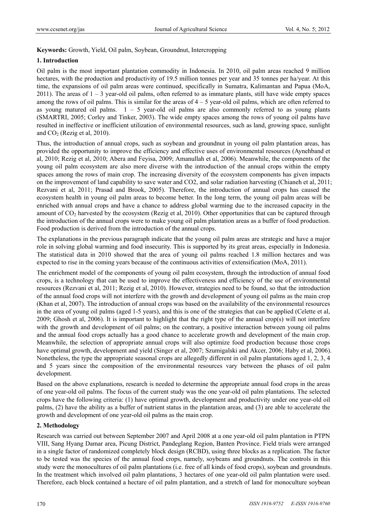**Keywords:** Growth, Yield, Oil palm, Soybean, Groundnut, Intercropping

## **1. Introduction**

Oil palm is the most important plantation commodity in Indonesia. In 2010, oil palm areas reached 9 million hectares, with the production and productivity of 19.5 million tonnes per year and 35 tonnes per ha/year. At this time, the expansions of oil palm areas were continued, specifically in Sumatra, Kalimantan and Papua (MoA, 2011). The areas of  $1 - 3$  year-old oil palms, often referred to as immature plants, still have wide empty spaces among the rows of oil palms. This is similar for the areas of  $4 - 5$  year-old oil palms, which are often referred to as young matured oil palms.  $1 - 5$  year-old oil palms are also commonly referred to as young plants (SMARTRI, 2005; Corley and Tinker, 2003). The wide empty spaces among the rows of young oil palms have resulted in ineffective or inefficient utilization of environmental resources, such as land, growing space, sunlight and  $CO<sub>2</sub>$  (Rezig et al, 2010).

Thus, the introduction of annual crops, such as soybean and groundnut in young oil palm plantation areas, has provided the opportunity to improve the efficiency and effective uses of environmental resources (Aynehband et al, 2010; Rezig et al, 2010; Abera and Feyisa, 2009; Amanullah et al, 2006). Meanwhile, the components of the young oil palm ecosystem are also more diverse with the introduction of the annual crops within the empty spaces among the rows of main crop. The increasing diversity of the ecosystem components has given impacts on the improvement of land capability to save water and CO2, and solar radiation harvesting (Chianeh et al, 2011; Rezvani et al, 2011; Prasad and Brook, 2005). Therefore, the introduction of annual crops has caused the ecosystem health in young oil palm areas to become better. In the long term, the young oil palm areas will be enriched with annual crops and have a chance to address global warming due to the increased capacity in the amount of CO2 harvested by the ecosystem (Rezig et al, 2010). Other opportunities that can be captured through the introduction of the annual crops were to make young oil palm plantation areas as a buffer of food production. Food production is derived from the introduction of the annual crops.

The explanations in the previous paragraph indicate that the young oil palm areas are strategic and have a major role in solving global warming and food insecurity. This is supported by its great areas, especially in Indonesia. The statistical data in 2010 showed that the area of young oil palms reached 1.8 million hectares and was expected to rise in the coming years because of the continuous activities of extensification (MoA, 2011).

The enrichment model of the components of young oil palm ecosystem, through the introduction of annual food crops, is a technology that can be used to improve the effectiveness and efficiency of the use of environmental resources (Rezvani et al, 2011; Rezig et al, 2010). However, strategies need to be found, so that the introduction of the annual food crops will not interfere with the growth and development of young oil palms as the main crop (Khan et al, 2007). The introduction of annual crops was based on the availability of the environmental resources in the area of young oil palms (aged 1-5 years), and this is one of the strategies that can be applied (Celette et al, 2009; Ghosh et al, 2006). It is important to highlight that the right type of the annual crop(s) will not interfere with the growth and development of oil palms; on the contrary, a positive interaction between young oil palms and the annual food crops actually has a good chance to accelerate growth and development of the main crop. Meanwhile, the selection of appropriate annual crops will also optimize food production because those crops have optimal growth, development and yield (Singer et al, 2007; Szumigalski and Akcer, 2006; Haby et al, 2006). Nonetheless, the type the appropriate seasonal crops are allegedly different in oil palm plantations aged 1, 2, 3, 4 and 5 years since the composition of the environmental resources vary between the phases of oil palm development.

Based on the above explanations, research is needed to determine the appropriate annual food crops in the areas of one year-old oil palms. The focus of the current study was the one year-old oil palm plantations. The selected crops have the following criteria: (1) have optimal growth, development and productivity under one year-old oil palms, (2) have the ability as a buffer of nutrient status in the plantation areas, and (3) are able to accelerate the growth and development of one year-old oil palms as the main crop.

### **2. Methodology**

Research was carried out between September 2007 and April 2008 at a one year-old oil palm plantation in PTPN VIII, Sang Hyang Damar area, Picung District, Pandeglang Region, Banten Province. Field trials were arranged in a single factor of randomized completely block design (RCBD), using three blocks as a replication. The factor to be tested was the species of the annual food crops, namely, soybeans and groundnuts. The controls in this study were the monocultures of oil palm plantations (i.e. free of all kinds of food crops), soybean and groundnuts. In the treatment which involved oil palm plantations, 3 hectares of one year-old oil palm plantation were used. Therefore, each block contained a hectare of oil palm plantation, and a stretch of land for monoculture soybean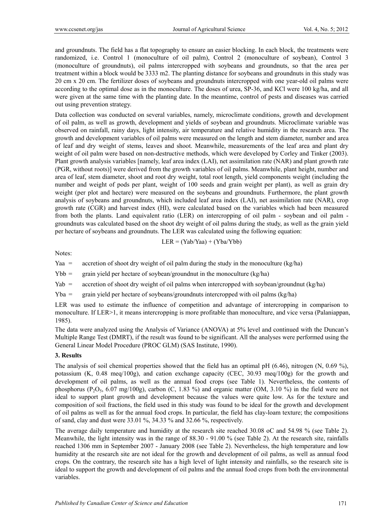and groundnuts. The field has a flat topography to ensure an easier blocking. In each block, the treatments were randomized, i.e. Control 1 (monoculture of oil palm), Control 2 (monoculture of soybean), Control 3 (monoculture of groundnuts), oil palms intercropped with soybeans and groundnuts, so that the area per treatment within a block would be 3333 m2. The planting distance for soybeans and groundnuts in this study was 20 cm x 20 cm. The fertilizer doses of soybeans and groundnuts intercropped with one year-old oil palms were according to the optimal dose as in the monoculture. The doses of urea, SP-36, and KCl were 100 kg/ha, and all were given at the same time with the planting date. In the meantime, control of pests and diseases was carried out using prevention strategy.

Data collection was conducted on several variables, namely, microclimate conditions, growth and development of oil palm, as well as growth, development and yields of soybean and groundnuts. Microclimate variable was observed on rainfall, rainy days, light intensity, air temperature and relative humidity in the research area. The growth and development variables of oil palms were measured on the length and stem diameter, number and area of leaf and dry weight of stems, leaves and shoot. Meanwhile, measurements of the leaf area and plant dry weight of oil palm were based on non-destructive methods, which were developed by Corley and Tinker (2003). Plant growth analysis variables [namely, leaf area index (LAI), net assimilation rate (NAR) and plant growth rate (PGR, without roots)] were derived from the growth variables of oil palms. Meanwhile, plant height, number and area of leaf, stem diameter, shoot and root dry weight, total root length, yield components weight (including the number and weight of pods per plant, weight of 100 seeds and grain weight per plant), as well as grain dry weight (per plot and hectare) were measured on the soybeans and groundnuts. Furthermore, the plant growth analysis of soybeans and groundnuts, which included leaf area index (LAI), net assimilation rate (NAR), crop growth rate (CGR) and harvest index (HI), were calculated based on the variables which had been measured from both the plants. Land equivalent ratio (LER) on intercropping of oil palm - soybean and oil palm groundnuts was calculated based on the shoot dry weight of oil palms during the study, as well as the grain yield per hectare of soybeans and groundnuts. The LER was calculated using the following equation:

$$
LER = (Yab/Yaa) + (Yba/Ybb)
$$

Notes:

Yaa = accretion of shoot dry weight of oil palm during the study in the monoculture (kg/ha)

 $Ybb =$  grain yield per hectare of soybean/groundnut in the monoculture (kg/ha)

- Yab = accretion of shoot dry weight of oil palms when intercropped with soybean/groundnut (kg/ha)
- Yba = grain yield per hectare of soybeans/groundnuts intercropped with oil palms (kg/ha)

LER was used to estimate the influence of competition and advantage of intercropping in comparison to monoculture. If LER>1, it means intercropping is more profitable than monoculture, and vice versa (Palaniappan, 1985).

The data were analyzed using the Analysis of Variance (ANOVA) at 5% level and continued with the Duncan's Multiple Range Test (DMRT), if the result was found to be significant. All the analyses were performed using the General Linear Model Procedure (PROC GLM) (SAS Institute, 1990).

### **3. Results**

The analysis of soil chemical properties showed that the field has an optimal pH (6.46), nitrogen (N, 0.69 %), potassium (K, 0.48 meq/100g), and cation exchange capacity (CEC, 30.93 meq/100g) for the growth and development of oil palms, as well as the annual food crops (see Table 1). Nevertheless, the contents of phosphorus (P<sub>2</sub>O<sub>5</sub>, 6.07 mg/100g), carbon (C, 1.83 %) and organic matter (OM, 3.10 %) in the field were not ideal to support plant growth and development because the values were quite low. As for the texture and composition of soil fractions, the field used in this study was found to be ideal for the growth and development of oil palms as well as for the annual food crops. In particular, the field has clay-loam texture; the compositions of sand, clay and dust were 33.01 %, 34.33 % and 32.66 %, respectively.

The average daily temperature and humidity at the research site reached 30.08 oC and 54.98 % (see Table 2). Meanwhile, the light intensity was in the range of 88.30 - 91.00 % (see Table 2). At the research site, rainfalls reached 1306 mm in September 2007 - January 2008 (see Table 2). Nevertheless, the high temperature and low humidity at the research site are not ideal for the growth and development of oil palms, as well as annual food crops. On the contrary, the research site has a high level of light intensity and rainfalls, so the research site is ideal to support the growth and development of oil palms and the annual food crops from both the environmental variables.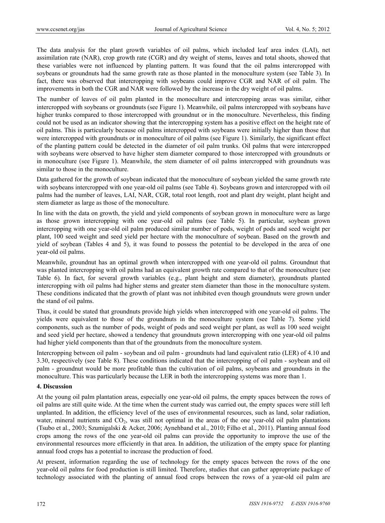The data analysis for the plant growth variables of oil palms, which included leaf area index (LAI), net assimilation rate (NAR), crop growth rate (CGR) and dry weight of stems, leaves and total shoots, showed that these variables were not influenced by planting pattern. It was found that the oil palms intercropped with soybeans or groundnuts had the same growth rate as those planted in the monoculture system (see Table 3). In fact, there was observed that intercropping with soybeans could improve CGR and NAR of oil palm. The improvements in both the CGR and NAR were followed by the increase in the dry weight of oil palms.

The number of leaves of oil palm planted in the monoculture and intercropping areas was similar, either intercropped with soybeans or groundnuts (see Figure 1). Meanwhile, oil palms intercropped with soybeans have higher trunks compared to those intercropped with groundnut or in the monoculture. Nevertheless, this finding could not be used as an indicator showing that the intercropping system has a positive effect on the height rate of oil palms. This is particularly because oil palms intercropped with soybeans were initially higher than those that were intercropped with groundnuts or in monoculture of oil palms (see Figure 1). Similarly, the significant effect of the planting pattern could be detected in the diameter of oil palm trunks. Oil palms that were intercropped with soybeans were observed to have higher stem diameter compared to those intercropped with groundnuts or in monoculture (see Figure 1). Meanwhile, the stem diameter of oil palms intercropped with groundnuts was similar to those in the monoculture.

Data gathered for the growth of soybean indicated that the monoculture of soybean yielded the same growth rate with soybeans intercropped with one year-old oil palms (see Table 4). Soybeans grown and intercropped with oil palms had the number of leaves, LAI, NAR, CGR, total root length, root and plant dry weight, plant height and stem diameter as large as those of the monoculture.

In line with the data on growth, the yield and yield components of soybean grown in monoculture were as large as those grown intercropping with one year-old oil palms (see Table 5). In particular, soybean grown intercropping with one year-old oil palm produced similar number of pods, weight of pods and seed weight per plant, 100 seed weight and seed yield per hectare with the monoculture of soybean. Based on the growth and yield of soybean (Tables 4 and 5), it was found to possess the potential to be developed in the area of one year-old oil palms.

Meanwhile, groundnut has an optimal growth when intercropped with one year-old oil palms. Groundnut that was planted intercropping with oil palms had an equivalent growth rate compared to that of the monoculture (see Table 6). In fact, for several growth variables (e.g., plant height and stem diameter), groundnuts planted intercropping with oil palms had higher stems and greater stem diameter than those in the monoculture system. These conditions indicated that the growth of plant was not inhibited even though groundnuts were grown under the stand of oil palms.

Thus, it could be stated that groundnuts provide high yields when intercropped with one year-old oil palms. The yields were equivalent to those of the groundnuts in the monoculture system (see Table 7). Some yield components, such as the number of pods, weight of pods and seed weight per plant, as well as 100 seed weight and seed yield per hectare, showed a tendency that groundnuts grown intercropping with one year-old oil palms had higher yield components than that of the groundnuts from the monoculture system.

Intercropping between oil palm - soybean and oil palm - groundnuts had land equivalent ratio (LER) of 4.10 and 3.30, respectively (see Table 8). These conditions indicated that the intercropping of oil palm - soybean and oil palm - groundnut would be more profitable than the cultivation of oil palms, soybeans and groundnuts in the monoculture. This was particularly because the LER in both the intercropping systems was more than 1.

### **4. Discussion**

At the young oil palm plantation areas, especially one year-old oil palms, the empty spaces between the rows of oil palms are still quite wide. At the time when the current study was carried out, the empty spaces were still left unplanted. In addition, the efficiency level of the uses of environmental resources, such as land, solar radiation, water, mineral nutrients and  $CO<sub>2</sub>$ , was still not optimal in the areas of the one year-old oil palm plantations (Tsubo et al., 2003; Szumigalski & Acker, 2006; Aynehband et al., 2010; Filho et al., 2011). Planting annual food crops among the rows of the one year-old oil palms can provide the opportunity to improve the use of the environmental resources more efficiently in that area. In addition, the utilization of the empty space for planting annual food crops has a potential to increase the production of food.

At present, information regarding the use of technology for the empty spaces between the rows of the one year-old oil palms for food production is still limited. Therefore, studies that can gather appropriate package of technology associated with the planting of annual food crops between the rows of a year-old oil palm are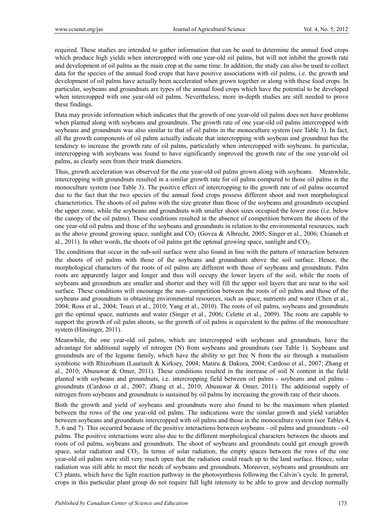required. These studies are intended to gather information that can be used to determine the annual food crops which produce high yields when intercropped with one year-old oil palms, but will not inhibit the growth rate and development of oil palms as the main crop at the same time. In addition, the study can also be used to collect data for the species of the annual food crops that have positive associations with oil palms, i.e. the growth and development of oil palms have actually been accelerated when grown together or along with these food crops. In particular, soybeans and groundnuts are types of the annual food crops which have the potential to be developed when intercropped with one year-old oil palms. Nevertheless, more in-depth studies are still needed to prove these findings.

Data may provide information which indicates that the growth of one year-old oil palms does not have problems when planted along with soybeans and groundnuts. The growth rate of one year-old oil palms intercropped with soybeans and groundnuts was also similar to that of oil palms in the monoculture system (see Table 3). In fact, all the growth components of oil palms actually indicate that intercropping with soybean and groundnut has the tendency to increase the growth rate of oil palms, particularly when intercropped with soybeans. In particular, intercropping with soybeans was found to have significantly improved the growth rate of the one year-old oil palms, as clearly seen from their trunk diameters.

Thus, growth acceleration was observed for the one year-old oil palms grown along with soybeans. Meanwhile, intercropping with groundnuts resulted in a similar growth rate for oil palms compared to those oil palms in the monoculture system (see Table 3). The positive effect of intercropping to the growth rate of oil palms occurred due to the fact that the two species of the annual food crops possess different shoot and root morphological characteristics. The shoots of oil palms with the size greater than those of the soybeans and groundnuts occupied the upper zone, while the soybeans and groundnuts with smaller shoot sizes occupied the lower zone (i.e. below the canopy of the oil palms). These conditions resulted in the absence of competition between the shoots of the one year-old oil palms and those of the soybeans and groundnuts in relation to the environmental resources, such as the above ground growing space, sunlight and CO<sub>2</sub> (Govea & Albrecht, 2005; Singer et al., 2006; Chianeh et al., 2011). In other words, the shoots of oil palms get the optimal growing space, sunlight and  $CO<sub>2</sub>$ .

The conditions that occur in the sub-soil surface were also found in line with the pattern of interaction between the shoots of oil palms with those of the soybeans and groundnuts above the soil surface. Hence, the morphological characters of the roots of oil palms are different with those of soybeans and groundnuts. Palm roots are apparently larger and longer and thus will occupy the lower layers of the soil, while the roots of soybeans and groundnuts are smaller and shorter and they will fill the upper soil layers that are near to the soil surface. These conditions will encourage the non- competition between the roots of oil palms and those of the soybeans and groundnuts in obtaining environmental resources, such as space, nutrients and water (Chen et al., 2004; Ross et al., 2004; Touzi et al., 2010; Yang et al., 2010). The roots of oil palms, soybeans and groundnuts get the optimal space, nutrients and water (Singer et al., 2006; Celette et al., 2009). The roots are capable to support the growth of oil palm shoots, so the growth of oil palms is equivalent to the palms of the monoculture system (Hinsinger, 2011).

Meanwhile, the one year-old oil palms, which are intercropped with soybeans and groundnuts, have the advantage for additional supply of nitrogen (N) from soybeans and groundnuts (see Table 1). Soybeans and groundnuts are of the legume family, which have the ability to get free N from the air through a mutualism symbiotic with Rhizobium (Lauriault & Kirksey, 2004; Matiru & Dakora, 2004; Cardoso et al., 2007; Zhang et al., 2010; Abusuwar & Omer, 2011). These conditions resulted in the increase of soil N content in the field planted with soybeans and groundnuts, i.e. intercropping field between oil palms - soybeans and oil palms groundnuts (Cardoso et al., 2007; Zhang et al., 2010; Abusuwar & Omer, 2011). The additional supply of nitrogen from soybeans and groundnuts is sustained by oil palms by increasing the growth rate of their shoots.

Both the growth and yield of soybeans and groundnuts were also found to be the maximum when planted between the rows of the one year-old oil palms. The indications were the similar growth and yield variables between soybeans and groundnuts intercropped with oil palms and those in the monoculture system (see Tables 4, 5, 6 and 7). This occurred because of the positive interactions between soybeans - oil palms and groundnuts - oil palms. The positive interactions were also due to the different morphological characters between the shoots and roots of oil palms, soybeans and groundnuts. The shoot of soybeans and groundnuts could get enough growth space, solar radiation and  $CO<sub>2</sub>$ . In terms of solar radiation, the empty spaces between the rows of the one year-old oil palms were still very much open that the radiation could reach up to the land surface. Hence, solar radiation was still able to meet the needs of soybeans and groundnuts. Moreover, soybeans and groundnuts are C3 plants, which have the light reaction pathway in the photosynthesis following the Calvin's cycle. In general, crops in this particular plant group do not require full light intensity to be able to grow and develop normally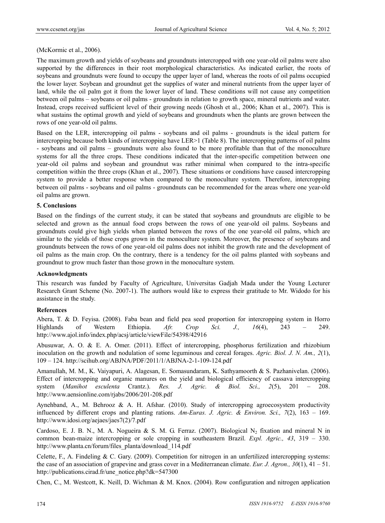## (McKormic et al., 2006).

The maximum growth and yields of soybeans and groundnuts intercropped with one year-old oil palms were also supported by the differences in their root morphological characteristics. As indicated earlier, the roots of soybeans and groundnuts were found to occupy the upper layer of land, whereas the roots of oil palms occupied the lower layer. Soybean and groundnut get the supplies of water and mineral nutrients from the upper layer of land, while the oil palm got it from the lower layer of land. These conditions will not cause any competition between oil palms – soybeans or oil palms - groundnuts in relation to growth space, mineral nutrients and water. Instead, crops received sufficient level of their growing needs (Ghosh et al., 2006; Khan et al., 2007). This is what sustains the optimal growth and yield of soybeans and groundnuts when the plants are grown between the rows of one year-old oil palms.

Based on the LER, intercropping oil palms - soybeans and oil palms - groundnuts is the ideal pattern for intercropping because both kinds of intercropping have LER>1 (Table 8). The intercropping patterns of oil palms - soybeans and oil palms – groundnuts were also found to be more profitable than that of the monoculture systems for all the three crops. These conditions indicated that the inter-specific competition between one year-old oil palms and soybean and groundnut was rather minimal when compared to the intra-specific competition within the three crops (Khan et al., 2007). These situations or conditions have caused intercropping system to provide a better response when compared to the monoculture system. Therefore, intercropping between oil palms - soybeans and oil palms - groundnuts can be recommended for the areas where one year-old oil palms are grown.

## **5. Conclusions**

Based on the findings of the current study, it can be stated that soybeans and groundnuts are eligible to be selected and grown as the annual food crops between the rows of one year-old oil palms. Soybeans and groundnuts could give high yields when planted between the rows of the one year-old oil palms, which are similar to the yields of those crops grown in the monoculture system. Moreover, the presence of soybeans and groundnuts between the rows of one year-old oil palms does not inhibit the growth rate and the development of oil palms as the main crop. On the contrary, there is a tendency for the oil palms planted with soybeans and groundnut to grow much faster than those grown in the monoculture system.

### **Acknowledgments**

This research was funded by Faculty of Agriculture, Universitas Gadjah Mada under the Young Lecturer Research Grant Scheme (No. 2007-1). The authors would like to express their gratitude to Mr. Widodo for his assistance in the study.

## **References**

Abera, T. & D. Feyisa. (2008). Faba bean and field pea seed proportion for intercropping system in Horro Highlands of Western Ethiopia. *Afr. Crop Sci. J., 16*(4), 243 – 249. http://www.ajol.info/index.php/acsj/article/viewFile/54398/42916

Abusuwar, A. O. & E. A. Omer. (2011). Effect of intercropping, phosphorus fertilization and rhizobium inoculation on the growth and nodulation of some leguminous and cereal forages. *Agric. Biol. J. N. Am., 2*(1), 109 – 124. http://scihub.org/ABJNA/PDF/2011/1/ABJNA-2-1-109-124.pdf

Amanullah, M. M., K. Vaiyapuri, A. Alagesan, E. Somasundaram, K. Sathyamoorth & S. Pazhanivelan. (2006). Effect of intercropping and organic manures on the yield and biological efficiency of cassava intercropping system (*Manihot esculenta* Crantz.). *Res. J. Agric. & Biol. Sci., 2*(5), 201 – 208. http://www.aensionline.com/rjabs/2006/201-208.pdf

Aynehband, A., M. Behrooz & A. H. Afshar. (2010). Study of intercropping agroecosystem productivity influenced by different crops and planting rations. *Am-Euras. J. Agric. & Environ. Sci., 7*(2), 163 – 169. http://www.idosi.org/aejaes/jaes7(2)/7.pdf

Cardoso, E. J. B. N., M. A. Nogueira & S. M. G. Ferraz. (2007). Biological N<sub>2</sub> fixation and mineral N in common bean-maize intercropping or sole cropping in southeastern Brazil. *Expl. Agric., 43*, 319 – 330. http://www.planta.cn/forum/files\_planta/download\_114.pdf

Celette, F., A. Findeling & C. Gary. (2009). Competition for nitrogen in an unfertilized intercropping systems: the case of an association of grapevine and grass cover in a Mediterranean climate. *Eur. J. Agron., 30*(1), 41 – 51. http://publications.cirad.fr/une\_notice.php?dk=547300

Chen, C., M. Westcott, K. Neill, D. Wichman & M. Knox. (2004). Row configuration and nitrogen application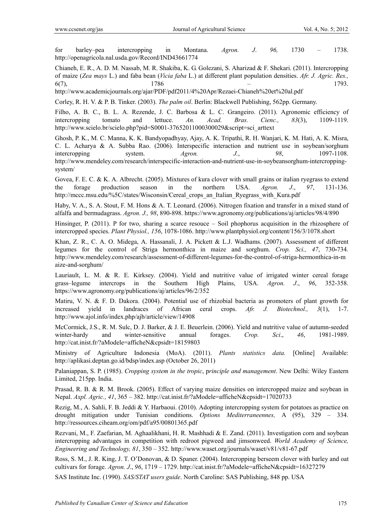for barley–pea intercropping in Montana. *Agron. J*. *96,* 1730 – 1738. http://openagricola.nal.usda.gov/Record/IND43661774

Chianeh, E. R., A. D. M. Nassab, M. R. Shakiba, K. G. Golezani, S. Aharizad & F. Shekari. (2011). Intercropping of maize (*Zea mays* L.) and faba bean (*Vicia faba* L.) at different plant population densities. *Afr. J. Agric. Res.,*  $(6(7),$  1796 – 1799.

http://www.academicjournals.org/ajar/PDF/pdf2011/4%20Apr/Rezaei-Chianeh%20et%20al.pdf

Corley, R. H. V. & P. B. Tinker. (2003). *The palm oil*. Berlin: Blackwell Publishing, 562pp. Germany.

Filho, A. B. C., B. L. A. Rezende, J. C. Barbosa & L. C. Grangeiro. (2011). Agronomic efficiency of intercropping tomato and lettuce. *An. Acad. Bras. Cienc., 83*(3), 1109-1119. http://www.scielo.br/scielo.php?pid=S0001-37652011000300029&script=sci\_arttext

Ghosh, P. K., M. C. Manna, K. K. Bandyopadhyay, Ajay, A. K. Tripathi, R. H. Wanjari, K. M. Hati, A. K. Misra, C. L. Acharya & A. Subba Rao. (2006). Interspecific interaction and nutrient use in soybean/sorghum intercropping system. *Agron. J.*, *98*, 1097-1108. http://www.mendeley.com/research/interspecific-interaction-and-nutrient-use-in-soybeansorghum-intercroppingsystem/

Govea, F. E. C. & K. A. Albrecht. (2005). Mixtures of kura clover with small grains or italian ryegrass to extend the forage production season in the northern USA. *Agron. J*., *97*, 131-136. http://mccc.msu.edu/%5C/states/Wisconsin/Cereal\_crops\_an\_Italian\_Ryegrass\_with\_Kura.pdf

Haby, V. A., S. A. Stout, F. M. Hons & A. T. Leonard. (2006). Nitrogen fixation and transfer in a mixed stand of alfalfa and bermudagrass. *Agron. J., 98*, 890-898. https://www.agronomy.org/publications/aj/articles/98/4/890

Hinsinger, P. (2011). P for two, sharing a scarce resouce – Soil phophorus acquisition in the rhizosphere of intercropped species. *Plant Physiol., 156*, 1078-1086. http://www.plantphysiol.org/content/156/3/1078.short

Khan, Z. R., C. A. O. Midega, A. Hassanali, J. A. Pickett & L.J. Wadhams. (2007). Assessment of different legumes for the control of Striga hermonthica in maize and sorghum. *Crop. Sci., 47*, 730*-*734*.* http://www.mendeley.com/research/assessment-of-different-legumes-for-the-control-of-striga-hermonthica-in-m aize-and-sorghum/

Lauriault, L. M. & R. E. Kirksey. (2004). Yield and nutritive value of irrigated winter cereal forage grass–legume intercrops in the Southern High Plains, USA. *Agron. J*., *96*, 352-358. https://www.agronomy.org/publications/aj/articles/96/2/352

Matiru, V. N. & F. D. Dakora. (2004). Potential use of rhizobial bacteria as promoters of plant growth for increased yield in landraces of African ceral crops. *Afr. J. Biotechnol., 3*(1), 1-7. http://www.ajol.info/index.php/ajb/article/view/14908

McCormick, J.S., R. M. Sulc, D. J. Barker, & J. E. Beuerlein. (2006). Yield and nutritive value of autumn-seeded winter-hardy and winter-sensitive annual forages. *Crop. Sci*., *46*, 1981-1989. http://cat.inist.fr/?aModele=afficheN&cpsidt=18159803

Ministry of Agriculture Indonesia (MoA). (2011). *Plants statistics data.* [Online] Available: http://aplikasi.deptan.go.id/bdsp/index.asp (October 26, 2011)

Palaniappan, S. P. (1985). *Cropping system in the tropic*, p*rinciple and management*. New Delhi: Wiley Eastern Limited, 215pp. India.

Prasad, R. B. & R. M. Brook. (2005). Effect of varying maize densities on intercropped maize and soybean in Nepal. *Axpl. Agric., 41*, 365 – 382. http://cat.inist.fr/?aModele=afficheN&cpsidt=17020733

Rezig, M., A. Sahli, F. B. Jeddi & Y. Harbaoui. (2010). Adopting intercropping system for potatoes as practice on drought mitigation under Tunisian conditions. *Options Mediterraneennes,* A (95), 329 – 334. http://ressources.ciheam.org/om/pdf/a95/00801365.pdf

Rezvani, M., F. Zaefarian, M. Aghaalikhani, H. R. Mashhadi & E. Zand. (2011). Investigation corn and soybean intercropping advantages in competition with redroot pigweed and jimsonweed. *World Academy of Science, Engineering and Technology, 81*, 350 – 352. http://www.waset.org/journals/waset/v81/v81-67.pdf

Ross, S. M., J. R. King, J. T. O'Donovan, & D. Spaner. (2004). Intercropping berseem clover with barley and oat cultivars for forage. *Agron. J*., *96*, 1719 – 1729. http://cat.inist.fr/?aModele=afficheN&cpsidt=16327279

SAS Institute Inc. (1990). *SAS/STAT users guide*. North Caroline: SAS Publishing, 848 pp. USA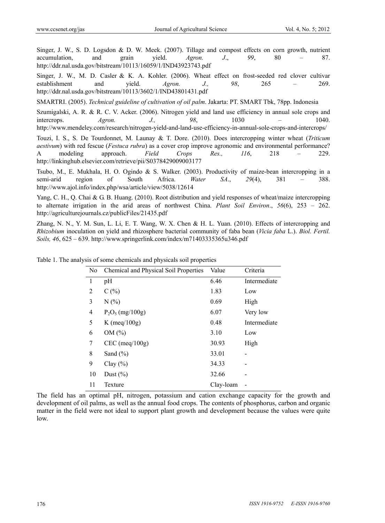Singer, J. W., S. D. Logsdon & D. W. Meek. (2007). Tillage and compost effects on corn growth, nutrient accumulation, and grain yield. *Agron. J*., *99*, 80 – 87. http://ddr.nal.usda.gov/bitstream/10113/16059/1/IND43923743.pdf

Singer, J. W., M. D. Casler & K. A. Kohler. (2006). Wheat effect on frost-seeded red clover cultivar establishment and yield. *Agron. J., 98*, 265 – 269. http://ddr.nal.usda.gov/bitstream/10113/3602/1/IND43801431.pdf

SMARTRI. (2005). *Technical guideline of cultivation of oil palm*. Jakarta: PT. SMART Tbk, 78pp. Indonesia

Szumigalski, A. R. & R. C. V. Acker. (2006). Nitrogen yield and land use efficiency in annual sole crops and intercrops. *Agron. J., 98*, 1030 – 1040. http://www.mendeley.com/research/nitrogen-yield-and-land-use-efficiency-in-annual-sole-crops-and-intercrops/

Touzi, I. S., S. De Tourdonnet, M. Launay & T. Dore. (2010). Does intercropping winter wheat (*Triticum aestivum*) with red fescue (*Festuca rubra*) as a cover crop improve agronomic and environmental performance? A modeling approach. *Field Crops Res., 116*, 218 – 229. http://linkinghub.elsevier.com/retrieve/pii/S0378429009003177

Tsubo, M., E. Mukhala, H. O. Ogindo & S. Walker. (2003). Productivity of maize-bean intercropping in a semi-arid region of South Africa. *Water SA*., *29*(4), 381 – 388. http://www.ajol.info/index.php/wsa/article/view/5038/12614

Yang, C. H., Q. Chai & G. B. Huang. (2010). Root distribution and yield responses of wheat/maize intercropping to alternate irrigation in the arid areas of northwest China. *Plant Soil Environ*., *56*(6), 253 – 262. http://agriculturejournals.cz/publicFiles/21435.pdf

Zhang, N. N., Y. M. Sun, L. Li, E. T. Wang, W. X. Chen & H. L. Yuan. (2010). Effects of intercropping and *Rhizobium* inoculation on yield and rhizosphere bacterial community of faba bean (*Vicia faba* L.). *Biol. Fertil. Soils, 46*, 625 – 639. http://www.springerlink.com/index/m71403335365u346.pdf

| N <sub>0</sub> | Chemical and Physical Soil Properties | Value     | Criteria     |
|----------------|---------------------------------------|-----------|--------------|
| $\mathbf{1}$   | pH                                    | 6.46      | Intermediate |
| 2              | $C($ %)                               | 1.83      | Low          |
| 3              | N(%)                                  | 0.69      | High         |
| 4              | $P_2O_5$ (mg/100g)                    | 6.07      | Very low     |
| 5              | K (meq/ $100g$ )                      | 0.48      | Intermediate |
| 6              | OM $(\% )$                            | 3.10      | Low          |
| 7              | $CEC$ (meq/100g)                      | 30.93     | High         |
| 8              | Sand $(\% )$                          | 33.01     |              |
| 9              | Clay $(\% )$                          | 34.33     |              |
| 10             | Dust $(\% )$                          | 32.66     |              |
| 11             | Texture                               | Clay-loam |              |

Table 1. The analysis of some chemicals and physicals soil properties

The field has an optimal pH, nitrogen, potassium and cation exchange capacity for the growth and development of oil palms, as well as the annual food crops. The contents of phosphorus, carbon and organic matter in the field were not ideal to support plant growth and development because the values were quite low.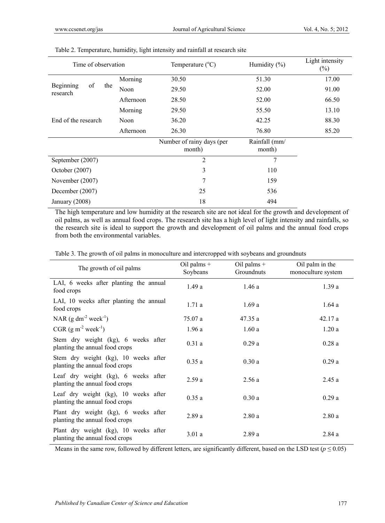| Time of observation         |             | Temperature $(^{\circ}C)$           | Humidity $(\% )$        | Light intensity<br>$(\%)$ |
|-----------------------------|-------------|-------------------------------------|-------------------------|---------------------------|
|                             | Morning     | 30.50                               | 51.30                   | 17.00                     |
| of<br>Beginning<br>research | the<br>Noon | 29.50                               | 52.00                   | 91.00                     |
|                             | Afternoon   | 28.50                               | 52.00                   | 66.50                     |
|                             | Morning     | 29.50                               | 55.50                   | 13.10                     |
| End of the research         | Noon        | 36.20                               | 42.25                   | 88.30                     |
|                             | Afternoon   | 26.30                               | 76.80                   | 85.20                     |
|                             |             | Number of rainy days (per<br>month) | Rainfall (mm/<br>month) |                           |
| September (2007)            |             | 2                                   | 7                       |                           |
| October $(2007)$            |             | 3                                   | 110                     |                           |
| November (2007)             |             | 7                                   | 159                     |                           |
| December (2007)             |             | 25                                  | 536                     |                           |
| January (2008)              |             | 18                                  | 494                     |                           |

## Table 2. Temperature, humidity, light intensity and rainfall at research site

The high temperature and low humidity at the research site are not ideal for the growth and development of oil palms, as well as annual food crops. The research site has a high level of light intensity and rainfalls, so the research site is ideal to support the growth and development of oil palms and the annual food crops from both the environmental variables.

|  |  |  | Table 3. The growth of oil palms in monoculture and intercropped with soybeans and groundnuts |  |  |  |  |
|--|--|--|-----------------------------------------------------------------------------------------------|--|--|--|--|
|  |  |  |                                                                                               |  |  |  |  |

| The growth of oil palms                                                 | Oil palms +<br>Soybeans | Oil palms +<br>Groundnuts | Oil palm in the<br>monoculture system |
|-------------------------------------------------------------------------|-------------------------|---------------------------|---------------------------------------|
| LAI, 6 weeks after planting the annual<br>food crops                    | 1.49a                   | 1.46a                     | 1.39a                                 |
| LAI, 10 weeks after planting the annual<br>food crops                   | 1.71a                   | 1.69a                     | 1.64a                                 |
| NAR $(g dm^{-2} week^{-1})$                                             | 75.07 a                 | 47.35a                    | 42.17a                                |
| $CGR (g m-2 week-1)$                                                    | 1.96a                   | 1.60a                     | 1.20a                                 |
| Stem dry weight (kg), 6 weeks after<br>planting the annual food crops   | 0.31a                   | 0.29a                     | 0.28a                                 |
| Stem dry weight (kg), 10 weeks after<br>planting the annual food crops  | 0.35a                   | 0.30a                     | 0.29a                                 |
| Leaf dry weight (kg), 6 weeks after<br>planting the annual food crops   | 2.59a                   | 2.56a                     | 2.45a                                 |
| Leaf dry weight (kg), 10 weeks after<br>planting the annual food crops  | 0.35a                   | 0.30a                     | 0.29a                                 |
| Plant dry weight (kg), 6 weeks after<br>planting the annual food crops  | 2.89a                   | 2.80a                     | 2.80a                                 |
| Plant dry weight (kg), 10 weeks after<br>planting the annual food crops | 3.01a                   | 2.89a                     | 2.84a                                 |

Means in the same row, followed by different letters, are significantly different, based on the LSD test ( $p \le 0.05$ )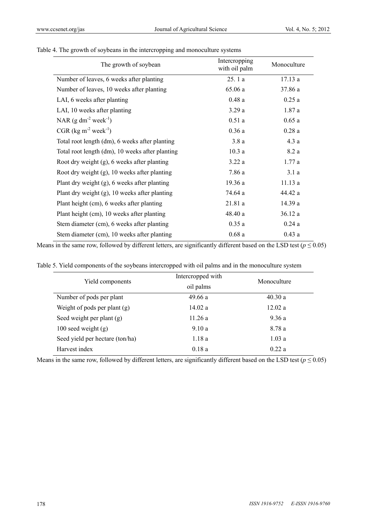| The growth of soybean                           | Intercropping<br>with oil palm | Monoculture |
|-------------------------------------------------|--------------------------------|-------------|
| Number of leaves, 6 weeks after planting        | 25.1a                          | 17.13a      |
| Number of leaves, 10 weeks after planting       | 65.06a                         | 37.86 a     |
| LAI, 6 weeks after planting                     | 0.48a                          | 0.25a       |
| LAI, 10 weeks after planting                    | 3.29a                          | 1.87a       |
| NAR $(g dm^{-2} week^{-1})$                     | 0.51a                          | 0.65a       |
| $CGR (kg m-2 week-1)$                           | 0.36a                          | 0.28a       |
| Total root length (dm), 6 weeks after planting  | 3.8a                           | 4.3a        |
| Total root length (dm), 10 weeks after planting | 10.3a                          | 8.2 a       |
| Root dry weight (g), 6 weeks after planting     | 3.22a                          | 1.77a       |
| Root dry weight $(g)$ , 10 weeks after planting | 7.86 a                         | 3.1a        |
| Plant dry weight (g), 6 weeks after planting    | 19.36a                         | 11.13 a     |
| Plant dry weight (g), 10 weeks after planting   | 74.64 a                        | 44.42 a     |
| Plant height (cm), 6 weeks after planting       | 21.81 a                        | 14.39 a     |
| Plant height (cm), 10 weeks after planting      | 48.40a                         | 36.12a      |
| Stem diameter (cm), 6 weeks after planting      | 0.35a                          | 0.24a       |
| Stem diameter (cm), 10 weeks after planting     | 0.68a                          | 0.43a       |

## Table 4. The growth of soybeans in the intercropping and monoculture systems

Means in the same row, followed by different letters, are significantly different based on the LSD test ( $p \le 0.05$ )

| Yield components                | Intercropped with<br>oil palms | Monoculture |
|---------------------------------|--------------------------------|-------------|
| Number of pods per plant        | 49.66a                         | 40.30a      |
| Weight of pods per plant (g)    | 14.02 a                        | 12.02 a     |
| Seed weight per plant (g)       | 11.26a                         | 9.36 a      |
| 100 seed weight $(g)$           | 9.10a                          | 8.78 a      |
| Seed yield per hectare (ton/ha) | 1.18a                          | 1.03a       |
| Harvest index                   | 0.18a                          | 022a        |

Table 5. Yield components of the soybeans intercropped with oil palms and in the monoculture system

Means in the same row, followed by different letters, are significantly different based on the LSD test ( $p \le 0.05$ )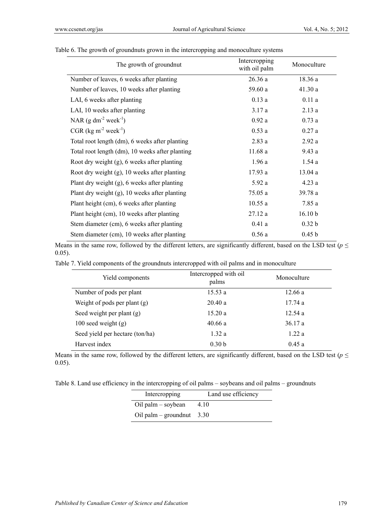| The growth of groundnut                         | Intercropping<br>with oil palm | Monoculture        |
|-------------------------------------------------|--------------------------------|--------------------|
| Number of leaves, 6 weeks after planting        | 26.36 a                        | 18.36a             |
| Number of leaves, 10 weeks after planting       | 59.60 a                        | 41.30 a            |
| LAI, 6 weeks after planting                     | 0.13a                          | 0.11a              |
| LAI, 10 weeks after planting                    | 3.17a                          | 2.13a              |
| NAR $(g dm^{-2} week^{-1})$                     | 0.92a                          | 0.73a              |
| $CGR$ (kg m <sup>-2</sup> week <sup>-1</sup> )  | 0.53a                          | 0.27a              |
| Total root length (dm), 6 weeks after planting  | 2.83a                          | 2.92a              |
| Total root length (dm), 10 weeks after planting | 11.68a                         | 9.43a              |
| Root dry weight (g), 6 weeks after planting     | 1.96a                          | 1.54a              |
| Root dry weight $(g)$ , 10 weeks after planting | 17.93 a                        | 13.04a             |
| Plant dry weight $(g)$ , 6 weeks after planting | 5.92a                          | 4.23a              |
| Plant dry weight (g), 10 weeks after planting   | 75.05a                         | 39.78 a            |
| Plant height (cm), 6 weeks after planting       | 10.55a                         | 7.85 a             |
| Plant height (cm), 10 weeks after planting      | 27.12a                         | 16.10 <sub>b</sub> |
| Stem diameter (cm), 6 weeks after planting      | 0.41a                          | 0.32 <sub>b</sub>  |
| Stem diameter (cm), 10 weeks after planting     | 0.56a                          | 0.45 <sub>b</sub>  |

## Table 6. The growth of groundnuts grown in the intercropping and monoculture systems

Means in the same row, followed by the different letters, are significantly different, based on the LSD test ( $p \leq$ 0.05).

Table 7. Yield components of the groundnuts intercropped with oil palms and in monoculture

| Yield components                | Intercropped with oil<br>palms | Monoculture |
|---------------------------------|--------------------------------|-------------|
| Number of pods per plant        | 15.53 a                        | 12.66a      |
| Weight of pods per plant $(g)$  | 20.40a                         | 17.74a      |
| Seed weight per plant (g)       | 15.20a                         | 12.54a      |
| 100 seed weight $(g)$           | 40.66a                         | 36.17a      |
| Seed yield per hectare (ton/ha) | 1.32a                          | 1.22a       |
| Harvest index                   | 0.30 <sub>b</sub>              | 0.45a       |

Means in the same row, followed by the different letters, are significantly different, based on the LSD test ( $p \leq$ 0.05).

Table 8. Land use efficiency in the intercropping of oil palms – soybeans and oil palms – groundnuts

| Intercropping           | Land use efficiency |
|-------------------------|---------------------|
| Oil palm – soybean      | 4.10                |
| Oil palm $-$ ground nut | 3.30                |